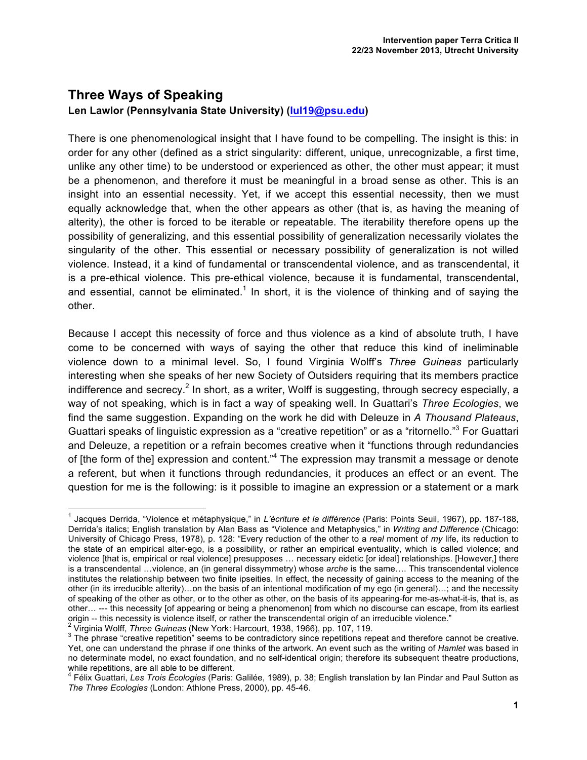## **Three Ways of Speaking Len Lawlor (Pennsylvania State University) (lul19@psu.edu)**

There is one phenomenological insight that I have found to be compelling. The insight is this: in order for any other (defined as a strict singularity: different, unique, unrecognizable, a first time, unlike any other time) to be understood or experienced as other, the other must appear; it must be a phenomenon, and therefore it must be meaningful in a broad sense as other. This is an insight into an essential necessity. Yet, if we accept this essential necessity, then we must equally acknowledge that, when the other appears as other (that is, as having the meaning of alterity), the other is forced to be iterable or repeatable. The iterability therefore opens up the possibility of generalizing, and this essential possibility of generalization necessarily violates the singularity of the other. This essential or necessary possibility of generalization is not willed violence. Instead, it a kind of fundamental or transcendental violence, and as transcendental, it is a pre-ethical violence. This pre-ethical violence, because it is fundamental, transcendental, and essential, cannot be eliminated.<sup>1</sup> In short, it is the violence of thinking and of saying the other.

Because I accept this necessity of force and thus violence as a kind of absolute truth, I have come to be concerned with ways of saying the other that reduce this kind of ineliminable violence down to a minimal level. So, I found Virginia Wolff's *Three Guineas* particularly interesting when she speaks of her new Society of Outsiders requiring that its members practice indifference and secrecy.<sup>2</sup> In short, as a writer, Wolff is suggesting, through secrecy especially, a way of not speaking, which is in fact a way of speaking well. In Guattari's *Three Ecologies*, we find the same suggestion. Expanding on the work he did with Deleuze in *A Thousand Plateaus*, Guattari speaks of linguistic expression as a "creative repetition" or as a "ritornello."3 For Guattari and Deleuze, a repetition or a refrain becomes creative when it "functions through redundancies of [the form of the] expression and content."<sup>4</sup> The expression may transmit a message or denote a referent, but when it functions through redundancies, it produces an effect or an event. The question for me is the following: is it possible to imagine an expression or a statement or a mark

<sup>1</sup> Jacques Derrida, "Violence et métaphysique," in *L'écriture et la différence* (Paris: Points Seuil, 1967), pp. 187-188, Derrida's italics; English translation by Alan Bass as "Violence and Metaphysics," in *Writing and Difference* (Chicago: University of Chicago Press, 1978), p. 128: "Every reduction of the other to a *real* moment of *my* life, its reduction to the state of an empirical alter-ego, is a possibility, or rather an empirical eventuality, which is called violence; and violence [that is, empirical or real violence] presupposes … necessary eidetic [or ideal] relationships. [However,] there is a transcendental …violence, an (in general dissymmetry) whose *arche* is the same…. This transcendental violence institutes the relationship between two finite ipseities. In effect, the necessity of gaining access to the meaning of the other (in its irreducible alterity)…on the basis of an intentional modification of my ego (in general)…; and the necessity of speaking of the other as other, or to the other as other, on the basis of its appearing-for me-as-what-it-is, that is, as other... --- this necessity [of appearing or being a phenomenon] from which no discourse can escape, from its earliest<br>origin -- this necessity is violence itself, or rather the transcendental origin of an irreducible vio

<sup>&</sup>lt;sup>2</sup> Virginia Wolff, *Three Guineas* (New York: Harcourt, 1938, 1966), pp. 107, 119.<br><sup>3</sup> The phrase "creative repetition" seems to be contradictory since repetitions repeat and therefore cannot be creative. Yet, one can understand the phrase if one thinks of the artwork. An event such as the writing of *Hamlet* was based in no determinate model, no exact foundation, and no self-identical origin; therefore its subsequent theatre productions, while repetitions, are all able to be different.

<sup>4</sup> Félix Guattari, *Les Trois Écologies* (Paris: Galilée, 1989), p. 38; English translation by Ian Pindar and Paul Sutton as *The Three Ecologies* (London: Athlone Press, 2000), pp. 45-46.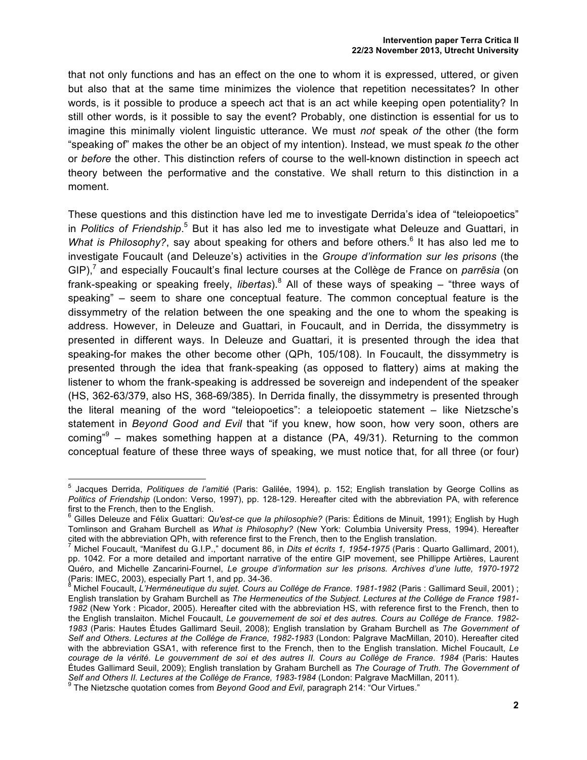that not only functions and has an effect on the one to whom it is expressed, uttered, or given but also that at the same time minimizes the violence that repetition necessitates? In other words, is it possible to produce a speech act that is an act while keeping open potentiality? In still other words, is it possible to say the event? Probably, one distinction is essential for us to imagine this minimally violent linguistic utterance. We must *not* speak *of* the other (the form "speaking of" makes the other be an object of my intention). Instead, we must speak *to* the other or *before* the other. This distinction refers of course to the well-known distinction in speech act theory between the performative and the constative. We shall return to this distinction in a moment.

These questions and this distinction have led me to investigate Derrida's idea of "teleiopoetics" in Politics of Friendship.<sup>5</sup> But it has also led me to investigate what Deleuze and Guattari, in *What is Philosophy?*, say about speaking for others and before others.<sup>6</sup> It has also led me to investigate Foucault (and Deleuze's) activities in the *Groupe d'information sur les prisons* (the GIP),<sup>7</sup> and especially Foucault's final lecture courses at the Collège de France on *parrēsia* (on frank-speaking or speaking freely, *libertas*).<sup>8</sup> All of these ways of speaking – "three ways of speaking" – seem to share one conceptual feature. The common conceptual feature is the dissymmetry of the relation between the one speaking and the one to whom the speaking is address. However, in Deleuze and Guattari, in Foucault, and in Derrida, the dissymmetry is presented in different ways. In Deleuze and Guattari, it is presented through the idea that speaking-for makes the other become other (QPh, 105/108). In Foucault, the dissymmetry is presented through the idea that frank-speaking (as opposed to flattery) aims at making the listener to whom the frank-speaking is addressed be sovereign and independent of the speaker (HS, 362-63/379, also HS, 368-69/385). In Derrida finally, the dissymmetry is presented through the literal meaning of the word "teleiopoetics": a teleiopoetic statement – like Nietzsche's statement in *Beyond Good and Evil* that "if you knew, how soon, how very soon, others are coming<sup>"9</sup> – makes something happen at a distance (PA, 49/31). Returning to the common conceptual feature of these three ways of speaking, we must notice that, for all three (or four)

<sup>5</sup> Jacques Derrida, *Politiques de l'amitié* (Paris: Galilée, 1994), p. 152; English translation by George Collins as *Politics of Friendship* (London: Verso, 1997), pp. 128-129. Hereafter cited with the abbreviation PA, with reference first to the French, then to the English.

<sup>6</sup> Gilles Deleuze and Félix Guattari: *Qu'est-ce que la philosophie?* (Paris: Éditions de Minuit, 1991); English by Hugh Tomlinson and Graham Burchell as *What is Philosophy?* (New York: Columbia University Press, 1994). Hereafter cited with the abbreviation QPh, with reference first to the French, then to the English translation.

<sup>7</sup> Michel Foucault, "Manifest du G.I.P.," document 86, in *Dits et écrits 1, 1954-1975* (Paris : Quarto Gallimard, 2001), pp. 1042. For a more detailed and important narrative of the entire GIP movement, see Phillippe Artières, Laurent Quéro, and Michelle Zancarini-Fournel, *Le groupe d'information sur les prisons. Archives d'une lutte, 1970-1972*<br>(Paris: IMEC, 2003), especially Part 1, and pp. 34-36.

Michel Foucault, *L'Herméneutique du sujet. Cours au Collége de France. 1981-1982* (Paris : Gallimard Seuil, 2001) ; English translation by Graham Burchell as *The Hermeneutics of the Subject. Lectures at the Collége de France 1981- 1982* (New York : Picador, 2005). Hereafter cited with the abbreviation HS, with reference first to the French, then to the English translaiton. Michel Foucault, *Le gouvernement de soi et des autres. Cours au Collége de France. 1982- 1983* (Paris: Hautes Études Gallimard Seuil, 2008); English translation by Graham Burchell as *The Government of Self and Others. Lectures at the Collége de France, 1982-1983* (London: Palgrave MacMillan, 2010). Hereafter cited with the abbreviation GSA1, with reference first to the French, then to the English translation. Michel Foucault, *Le courage de la vérité. Le gouvernment de soi et des autres II. Cours au Collège de France. 1984* (Paris: Hautes Études Gallimard Seuil, 2009); English translation by Graham Burchell as *The Courage of Truth. The Government of* 

<sup>&</sup>lt;sup>9</sup> The Nietzsche quotation comes from Beyond Good and Evil, paragraph 214: "Our Virtues."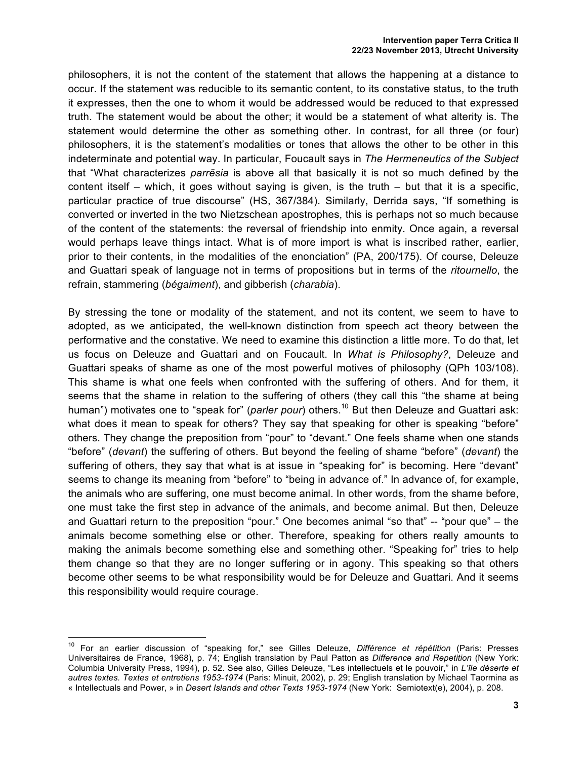philosophers, it is not the content of the statement that allows the happening at a distance to occur. If the statement was reducible to its semantic content, to its constative status, to the truth it expresses, then the one to whom it would be addressed would be reduced to that expressed truth. The statement would be about the other; it would be a statement of what alterity is. The statement would determine the other as something other. In contrast, for all three (or four) philosophers, it is the statement's modalities or tones that allows the other to be other in this indeterminate and potential way. In particular, Foucault says in *The Hermeneutics of the Subject*  that "What characterizes *parrēsia* is above all that basically it is not so much defined by the content itself – which, it goes without saying is given, is the truth – but that it is a specific, particular practice of true discourse" (HS, 367/384). Similarly, Derrida says, "If something is converted or inverted in the two Nietzschean apostrophes, this is perhaps not so much because of the content of the statements: the reversal of friendship into enmity. Once again, a reversal would perhaps leave things intact. What is of more import is what is inscribed rather, earlier, prior to their contents, in the modalities of the enonciation" (PA, 200/175). Of course, Deleuze and Guattari speak of language not in terms of propositions but in terms of the *ritournello*, the refrain, stammering (*bégaiment*), and gibberish (*charabia*).

By stressing the tone or modality of the statement, and not its content, we seem to have to adopted, as we anticipated, the well-known distinction from speech act theory between the performative and the constative. We need to examine this distinction a little more. To do that, let us focus on Deleuze and Guattari and on Foucault. In *What is Philosophy?*, Deleuze and Guattari speaks of shame as one of the most powerful motives of philosophy (QPh 103/108). This shame is what one feels when confronted with the suffering of others. And for them, it seems that the shame in relation to the suffering of others (they call this "the shame at being human") motivates one to "speak for" (parler pour) others.<sup>10</sup> But then Deleuze and Guattari ask: what does it mean to speak for others? They say that speaking for other is speaking "before" others. They change the preposition from "pour" to "devant." One feels shame when one stands "before" (*devant*) the suffering of others. But beyond the feeling of shame "before" (*devant*) the suffering of others, they say that what is at issue in "speaking for" is becoming. Here "devant" seems to change its meaning from "before" to "being in advance of." In advance of, for example, the animals who are suffering, one must become animal. In other words, from the shame before, one must take the first step in advance of the animals, and become animal. But then, Deleuze and Guattari return to the preposition "pour." One becomes animal "so that" -- "pour que" – the animals become something else or other. Therefore, speaking for others really amounts to making the animals become something else and something other. "Speaking for" tries to help them change so that they are no longer suffering or in agony. This speaking so that others become other seems to be what responsibility would be for Deleuze and Guattari. And it seems this responsibility would require courage.

<sup>10</sup> For an earlier discussion of "speaking for," see Gilles Deleuze, *Différence et répétition* (Paris: Presses Universitaires de France, 1968), p. 74; English translation by Paul Patton as *Difference and Repetition* (New York: Columbia University Press, 1994), p. 52. See also, Gilles Deleuze, "Les intellectuels et le pouvoir," in *L'île déserte et autres textes. Textes et entretiens 1953-1974* (Paris: Minuit, 2002), p. 29; English translation by Michael Taormina as « Intellectuals and Power, » in *Desert Islands and other Texts 1953-1974* (New York: Semiotext(e), 2004), p. 208.